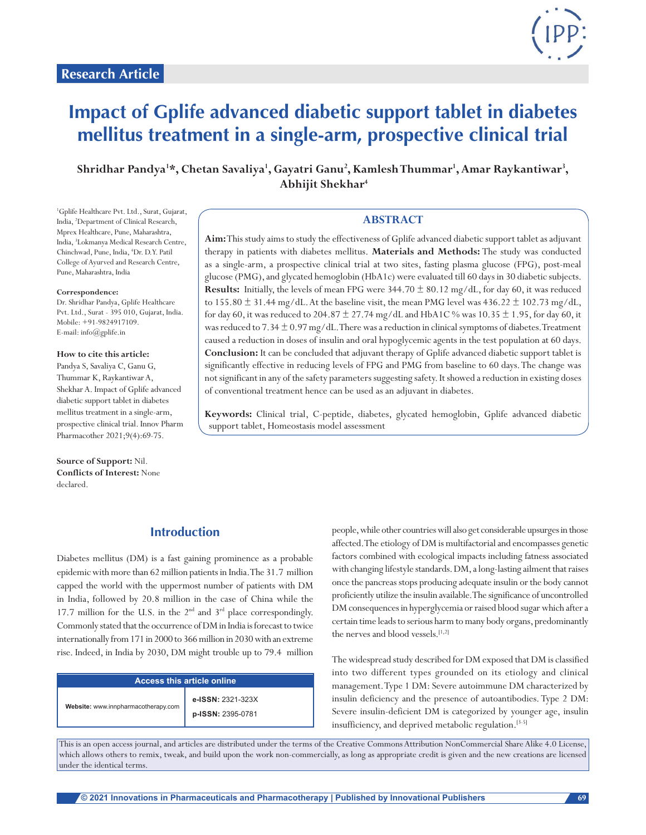

# **Impact of Gplife advanced diabetic support tablet in diabetes mellitus treatment in a single-arm, prospective clinical trial**

**Shridhar Pandya1 \*, Chetan Savaliya1 , Gayatri Ganu2 , Kamlesh Thummar1 , Amar Raykantiwar3 , Abhijit Shekhar4**

1 Gplife Healthcare Pvt. Ltd., Surat, Gujarat, India, 2 Department of Clinical Research, Mprex Healthcare, Pune, Maharashtra, India, 3 Lokmanya Medical Research Centre, Chinchwad, Pune, India, <sup>4</sup>Dr. D.Y. Patil College of Ayurved and Research Centre, Pune, Maharashtra, India

#### **Correspondence:**

Dr. Shridhar Pandya, Gplife Healthcare Pvt. Ltd., Surat - 395 010, Gujarat, India. Mobile: +91-9824917109. E-mail: info@gplife.in

#### **How to cite this article:**

Pandya S, Savaliya C, Ganu G, Thummar K, Raykantiwar A, Shekhar A. Impact of Gplife advanced diabetic support tablet in diabetes mellitus treatment in a single-arm, prospective clinical trial. Innov Pharm Pharmacother 2021;9(4):69-75.

**Source of Support:** Nil. **Conflicts of Interest:** None declared.

#### **ABSTRACT**

**Aim:** This study aims to study the effectiveness of Gplife advanced diabetic support tablet as adjuvant therapy in patients with diabetes mellitus. **Materials and Methods:** The study was conducted as a single-arm, a prospective clinical trial at two sites, fasting plasma glucose (FPG), post-meal glucose (PMG), and glycated hemoglobin (HbA1c) were evaluated till 60 days in 30 diabetic subjects. **Results:** Initially, the levels of mean FPG were  $344.70 \pm 80.12$  mg/dL, for day 60, it was reduced to 155.80  $\pm$  31.44 mg/dL. At the baseline visit, the mean PMG level was 436.22  $\pm$  102.73 mg/dL, for day 60, it was reduced to 204.87  $\pm$  27.74 mg/dL and HbA1C % was 10.35  $\pm$  1.95, for day 60, it was reduced to  $7.34 \pm 0.97$  mg/dL. There was a reduction in clinical symptoms of diabetes. Treatment caused a reduction in doses of insulin and oral hypoglycemic agents in the test population at 60 days. **Conclusion:** It can be concluded that adjuvant therapy of Gplife advanced diabetic support tablet is significantly effective in reducing levels of FPG and PMG from baseline to 60 days. The change was not significant in any of the safety parameters suggesting safety. It showed a reduction in existing doses of conventional treatment hence can be used as an adjuvant in diabetes.

**Keywords:** Clinical trial, C-peptide, diabetes, glycated hemoglobin, Gplife advanced diabetic support tablet, Homeostasis model assessment

## **Introduction**

Diabetes mellitus (DM) is a fast gaining prominence as a probable epidemic with more than 62 million patients in India. The 31.7 million capped the world with the uppermost number of patients with DM in India, followed by 20.8 million in the case of China while the 17.7 million for the U.S. in the  $2<sup>nd</sup>$  and  $3<sup>rd</sup>$  place correspondingly. Commonly stated that the occurrence of DM in India is forecast to twice internationally from 171 in 2000 to 366 million in 2030 with an extreme rise. Indeed, in India by 2030, DM might trouble up to 79.4 million

| Access this article online          |                                        |  |
|-------------------------------------|----------------------------------------|--|
| Website: www.innpharmacotherapy.com | e-ISSN: 2321-323X<br>p-ISSN: 2395-0781 |  |

people, while other countries will also get considerable upsurges in those affected. The etiology of DM is multifactorial and encompasses genetic factors combined with ecological impacts including fatness associated with changing lifestyle standards. DM, a long-lasting ailment that raises once the pancreas stops producing adequate insulin or the body cannot proficiently utilize the insulin available. The significance of uncontrolled DM consequences in hyperglycemia or raised blood sugar which after a certain time leads to serious harm to many body organs, predominantly the nerves and blood vessels.<sup>[1,2]</sup>

The widespread study described for DM exposed that DM is classified into two different types grounded on its etiology and clinical management. Type 1 DM: Severe autoimmune DM characterized by insulin deficiency and the presence of autoantibodies. Type 2 DM: Severe insulin-deficient DM is categorized by younger age, insulin insufficiency, and deprived metabolic regulation.[3-5]

This is an open access journal, and articles are distributed under the terms of the Creative Commons Attribution NonCommercial Share Alike 4.0 License, which allows others to remix, tweak, and build upon the work non-commercially, as long as appropriate credit is given and the new creations are licensed under the identical terms.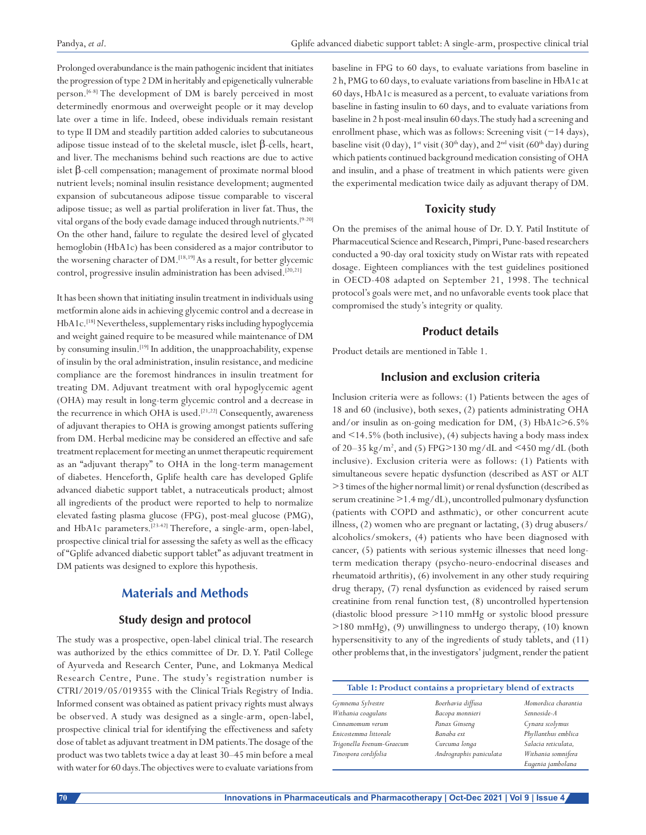Prolonged overabundance is the main pathogenic incident that initiates the progression of type 2 DM in heritably and epigenetically vulnerable person.<sup>[6-8]</sup> The development of DM is barely perceived in most determinedly enormous and overweight people or it may develop late over a time in life. Indeed, obese individuals remain resistant to type II DM and steadily partition added calories to subcutaneous adipose tissue instead of to the skeletal muscle, islet β-cells, heart, and liver. The mechanisms behind such reactions are due to active islet β-cell compensation; management of proximate normal blood nutrient levels; nominal insulin resistance development; augmented expansion of subcutaneous adipose tissue comparable to visceral adipose tissue; as well as partial proliferation in liver fat. Thus, the vital organs of the body evade damage induced through nutrients.[9-20] On the other hand, failure to regulate the desired level of glycated hemoglobin (HbA1c) has been considered as a major contributor to the worsening character of DM.<sup>[18,19]</sup> As a result, for better glycemic control, progressive insulin administration has been advised.<sup>[20,21]</sup>

It has been shown that initiating insulin treatment in individuals using metformin alone aids in achieving glycemic control and a decrease in HbA1c.[18] Nevertheless, supplementary risks including hypoglycemia and weight gained require to be measured while maintenance of DM by consuming insulin.[19] In addition, the unapproachability, expense of insulin by the oral administration, insulin resistance, and medicine compliance are the foremost hindrances in insulin treatment for treating DM. Adjuvant treatment with oral hypoglycemic agent (OHA) may result in long-term glycemic control and a decrease in the recurrence in which OHA is used.<sup>[21,22]</sup> Consequently, awareness of adjuvant therapies to OHA is growing amongst patients suffering from DM. Herbal medicine may be considered an effective and safe treatment replacement for meeting an unmet therapeutic requirement as an "adjuvant therapy" to OHA in the long-term management of diabetes. Henceforth, Gplife health care has developed Gplife advanced diabetic support tablet, a nutraceuticals product; almost all ingredients of the product were reported to help to normalize elevated fasting plasma glucose (FPG), post-meal glucose (PMG), and HbA1c parameters.<sup>[23-42]</sup> Therefore, a single-arm, open-label, prospective clinical trial for assessing the safety as well as the efficacy of "Gplife advanced diabetic support tablet" as adjuvant treatment in DM patients was designed to explore this hypothesis.

## **Materials and Methods**

### **Study design and protocol**

The study was a prospective, open-label clinical trial. The research was authorized by the ethics committee of Dr. D. Y. Patil College of Ayurveda and Research Center, Pune, and Lokmanya Medical Research Centre, Pune. The study's registration number is CTRI/2019/05/019355 with the Clinical Trials Registry of India. Informed consent was obtained as patient privacy rights must always be observed. A study was designed as a single-arm, open-label, prospective clinical trial for identifying the effectiveness and safety dose of tablet as adjuvant treatment in DM patients. The dosage of the product was two tablets twice a day at least 30–45 min before a meal with water for 60 days. The objectives were to evaluate variations from baseline in FPG to 60 days, to evaluate variations from baseline in 2 h, PMG to 60 days, to evaluate variations from baseline in HbA1c at 60 days, HbA1c is measured as a percent, to evaluate variations from baseline in fasting insulin to 60 days, and to evaluate variations from baseline in 2 h post-meal insulin 60 days. The study had a screening and enrollment phase, which was as follows: Screening visit (−14 days), baseline visit (0 day),  $1^{st}$  visit (30<sup>th</sup> day), and  $2^{nd}$  visit (60<sup>th</sup> day) during which patients continued background medication consisting of OHA and insulin, and a phase of treatment in which patients were given the experimental medication twice daily as adjuvant therapy of DM.

## **Toxicity study**

On the premises of the animal house of Dr. D. Y. Patil Institute of Pharmaceutical Science and Research, Pimpri, Pune-based researchers conducted a 90-day oral toxicity study on Wistar rats with repeated dosage. Eighteen compliances with the test guidelines positioned in OECD-408 adapted on September 21, 1998. The technical protocol's goals were met, and no unfavorable events took place that compromised the study's integrity or quality.

#### **Product details**

Product details are mentioned in Table 1.

#### **Inclusion and exclusion criteria**

Inclusion criteria were as follows: (1) Patients between the ages of 18 and 60 (inclusive), both sexes, (2) patients administrating OHA and/or insulin as on-going medication for DM,  $(3)$  HbA1c>6.5% and  $\leq$  14.5% (both inclusive), (4) subjects having a body mass index of 20–35 kg/m2 , and (5) FPG>130 mg/dL and <450 mg/dL (both inclusive). Exclusion criteria were as follows: (1) Patients with simultaneous severe hepatic dysfunction (described as AST or ALT >3 times of the higher normal limit) or renal dysfunction (described as serum creatinine >1.4 mg/dL), uncontrolled pulmonary dysfunction (patients with COPD and asthmatic), or other concurrent acute illness, (2) women who are pregnant or lactating, (3) drug abusers/ alcoholics/smokers, (4) patients who have been diagnosed with cancer, (5) patients with serious systemic illnesses that need longterm medication therapy (psycho-neuro-endocrinal diseases and rheumatoid arthritis), (6) involvement in any other study requiring drug therapy, (7) renal dysfunction as evidenced by raised serum creatinine from renal function test, (8) uncontrolled hypertension (diastolic blood pressure >110 mmHg or systolic blood pressure >180 mmHg), (9) unwillingness to undergo therapy, (10) known hypersensitivity to any of the ingredients of study tablets, and (11) other problems that, in the investigators' judgment, render the patient

| Table 1: Product contains a proprietary blend of extracts |                         |                     |
|-----------------------------------------------------------|-------------------------|---------------------|
| Gymnema Sylvestre                                         | Boerhavia diffusa       | Momordica charantia |
| Withania coagulans                                        | Bacopa monnieri         | Sennoside-A         |
| Cinnamomum verum                                          | Panax Ginseng           | Cynara scolymus     |
| Enicostemma littorale                                     | Banaba ext              | Phyllanthus emblica |
| Trigonella Foenum-Graecum                                 | Curcuma longa           | Salacia reticulata, |
| Tinospora cordifolia                                      | Andrographis paniculata | Withania somnifera  |
|                                                           |                         | Eugenia jambolana   |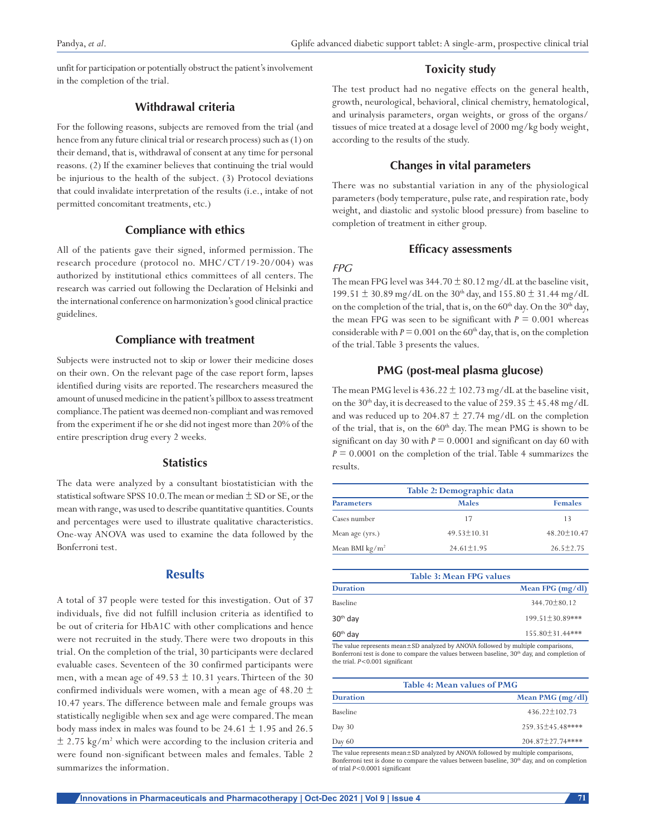unfit for participation or potentially obstruct the patient's involvement in the completion of the trial.

#### **Withdrawal criteria**

For the following reasons, subjects are removed from the trial (and hence from any future clinical trial or research process) such as (1) on their demand, that is, withdrawal of consent at any time for personal reasons. (2) If the examiner believes that continuing the trial would be injurious to the health of the subject. (3) Protocol deviations that could invalidate interpretation of the results (i.e., intake of not permitted concomitant treatments, etc.)

#### **Compliance with ethics**

All of the patients gave their signed, informed permission. The research procedure (protocol no. MHC/CT/19-20/004) was authorized by institutional ethics committees of all centers. The research was carried out following the Declaration of Helsinki and the international conference on harmonization's good clinical practice guidelines.

#### **Compliance with treatment**

Subjects were instructed not to skip or lower their medicine doses on their own. On the relevant page of the case report form, lapses identified during visits are reported. The researchers measured the amount of unused medicine in the patient's pillbox to assess treatment compliance. The patient was deemed non-compliant and was removed from the experiment if he or she did not ingest more than 20% of the entire prescription drug every 2 weeks.

#### **Statistics**

The data were analyzed by a consultant biostatistician with the statistical software SPSS 10.0. The mean or median  $\pm$  SD or SE, or the mean with range, was used to describe quantitative quantities. Counts and percentages were used to illustrate qualitative characteristics. One-way ANOVA was used to examine the data followed by the Bonferroni test.

## **Results**

A total of 37 people were tested for this investigation. Out of 37 individuals, five did not fulfill inclusion criteria as identified to be out of criteria for HbA1C with other complications and hence were not recruited in the study. There were two dropouts in this trial. On the completion of the trial, 30 participants were declared evaluable cases. Seventeen of the 30 confirmed participants were men, with a mean age of  $49.53 \pm 10.31$  years. Thirteen of the 30 confirmed individuals were women, with a mean age of  $48.20 \pm$ 10.47 years. The difference between male and female groups was statistically negligible when sex and age were compared. The mean body mass index in males was found to be  $24.61 \pm 1.95$  and  $26.5$  $\pm$  2.75 kg/m<sup>2</sup> which were according to the inclusion criteria and were found non-significant between males and females. Table 2 summarizes the information.

#### **Toxicity study**

The test product had no negative effects on the general health, growth, neurological, behavioral, clinical chemistry, hematological, and urinalysis parameters, organ weights, or gross of the organs/ tissues of mice treated at a dosage level of 2000 mg/kg body weight, according to the results of the study.

#### **Changes in vital parameters**

There was no substantial variation in any of the physiological parameters (body temperature, pulse rate, and respiration rate, body weight, and diastolic and systolic blood pressure) from baseline to completion of treatment in either group.

#### **Efficacy assessments**

#### *FPG*

The mean FPG level was  $344.70 \pm 80.12$  mg/dL at the baseline visit, 199.51  $\pm$  30.89 mg/dL on the 30<sup>th</sup> day, and 155.80  $\pm$  31.44 mg/dL on the completion of the trial, that is, on the  $60<sup>th</sup>$  day. On the  $30<sup>th</sup>$  day, the mean FPG was seen to be significant with  $P = 0.001$  whereas considerable with  $P = 0.001$  on the 60<sup>th</sup> day, that is, on the completion of the trial. Table 3 presents the values.

#### **PMG (post-meal plasma glucose)**

The mean PMG level is  $436.22 \pm 102.73$  mg/dL at the baseline visit, on the 30<sup>th</sup> day, it is decreased to the value of 259.35  $\pm$  45.48 mg/dL and was reduced up to 204.87  $\pm$  27.74 mg/dL on the completion of the trial, that is, on the  $60<sup>th</sup>$  day. The mean PMG is shown to be significant on day 30 with  $P = 0.0001$  and significant on day 60 with  $P = 0.0001$  on the completion of the trial. Table 4 summarizes the results.

| Table 2: Demographic data |                   |  |
|---------------------------|-------------------|--|
| <b>Males</b>              | <b>Females</b>    |  |
| 17                        | 13                |  |
| $49.53 \pm 10.31$         | $48.20 \pm 10.47$ |  |
| $24.61 \pm 1.95$          | $26.5 \pm 2.75$   |  |
|                           |                   |  |

|                      | <b>Table 3: Mean FPG values</b> |
|----------------------|---------------------------------|
| <b>Duration</b>      | Mean FPG (mg/dl)                |
| Baseline             | $344.70 + 80.12$                |
| 30 <sup>th</sup> day | 199.51±30.89***                 |
| $60th$ day           | 155.80±31.44***                 |

The value represents mean±SD analyzed by ANOVA followed by multiple comparisons, Bonferroni test is done to compare the values between baseline, 30<sup>th</sup> day, and completion of the trial. *P<*0.001 significant

|                 | Table 4: Mean values of PMG                                                      |
|-----------------|----------------------------------------------------------------------------------|
| <b>Duration</b> | Mean PMG $(mg/dl)$                                                               |
| Baseline        | $436.22 \pm 102.73$                                                              |
| Day $30$        | 259.35±45.48****                                                                 |
| Day $60$        | $204.87 + 27.74$ ****                                                            |
|                 | The value represents mean±SD analyzed by ANOVA followed by multiple comparisons, |

Bonferroni test is done to compare the values between baseline, 30<sup>th</sup> day, and on completion of trial *P<*0.0001 significant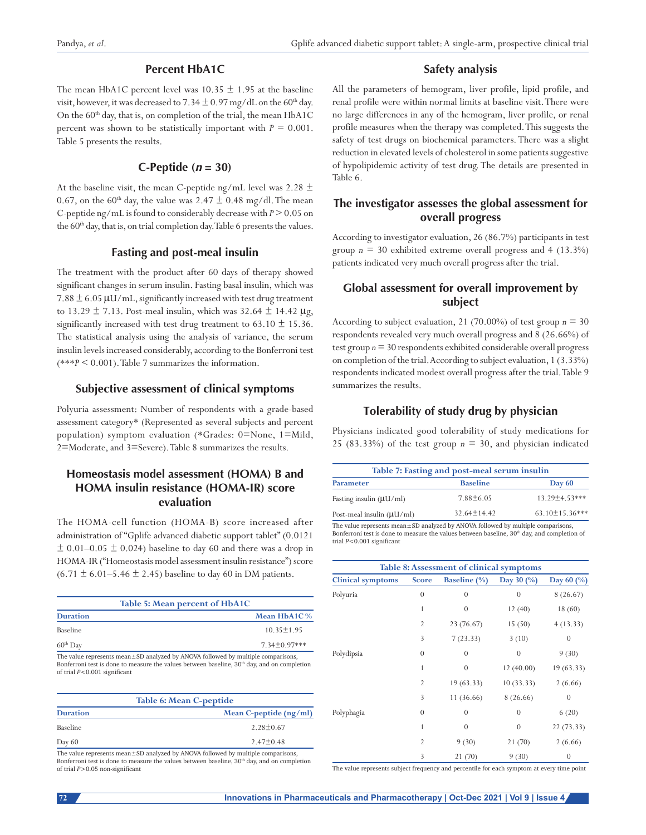# **Percent HbA1C**

The mean HbA1C percent level was 10.35  $\pm$  1.95 at the baseline visit, however, it was decreased to  $7.34 \pm 0.97$  mg/dL on the 60<sup>th</sup> day. On the  $60<sup>th</sup>$  day, that is, on completion of the trial, the mean HbA1C percent was shown to be statistically important with  $P = 0.001$ . Table 5 presents the results.

## **C-Peptide**  $(n = 30)$

At the baseline visit, the mean C-peptide ng/mL level was 2.28  $\pm$ 0.67, on the 60<sup>th</sup> day, the value was 2.47  $\pm$  0.48 mg/dl. The mean C-peptide ng/mL is found to considerably decrease with *P* > 0.05 on the 60<sup>th</sup> day, that is, on trial completion day. Table 6 presents the values.

## **Fasting and post-meal insulin**

The treatment with the product after 60 days of therapy showed significant changes in serum insulin. Fasting basal insulin, which was  $7.88 \pm 6.05 \,\text{\mu U/mL}$ , significantly increased with test drug treatment to 13.29  $\pm$  7.13. Post-meal insulin, which was 32.64  $\pm$  14.42  $\mu$ g, significantly increased with test drug treatment to  $63.10 \pm 15.36$ . The statistical analysis using the analysis of variance, the serum insulin levels increased considerably, according to the Bonferroni test (\*\*\**P* < 0.001). Table 7 summarizes the information.

## **Subjective assessment of clinical symptoms**

Polyuria assessment: Number of respondents with a grade-based assessment category\* (Represented as several subjects and percent population) symptom evaluation (\*Grades: 0=None, 1=Mild, 2=Moderate, and 3=Severe). Table 8 summarizes the results.

# **Homeostasis model assessment (HOMA) B and HOMA insulin resistance (HOMA-IR) score evaluation**

The HOMA-cell function (HOMA-B) score increased after administration of "Gplife advanced diabetic support tablet" (0.0121  $\pm$  0.01–0.05  $\pm$  0.024) baseline to day 60 and there was a drop in HOMA-IR ("Homeostasis model assessment insulin resistance") score  $(6.71 \pm 6.01 - 5.46 \pm 2.45)$  baseline to day 60 in DM patients.

|                 | Table 5: Mean percent of HbA1C |
|-----------------|--------------------------------|
| <b>Duration</b> | Mean HbA1C %                   |
| Baseline        | $10.35 \pm 1.95$               |
| $60th$ Day      | $7.34 + 0.97$ ***              |

The value represents mean±SD analyzed by ANOVA followed by multiple comparisons, Bonferroni test is done to measure the values between baseline, 30<sup>th</sup> day, and on completion of trial *P<*0.001 significant

| Table 6: Mean C-peptide |                        |  |
|-------------------------|------------------------|--|
| <b>Duration</b>         | Mean C-peptide (ng/ml) |  |
| Baseline                | $2.28 \pm 0.67$        |  |
| Day $60$                | $2.47 \pm 0.48$        |  |

The value represents mean±SD analyzed by ANOVA followed by multiple comparisons, Bonferroni test is done to measure the values between baseline, 30<sup>th</sup> day, and on completion of trial *P>*0.05 non‑significant

# **Safety analysis**

All the parameters of hemogram, liver profile, lipid profile, and renal profile were within normal limits at baseline visit. There were no large differences in any of the hemogram, liver profile, or renal profile measures when the therapy was completed. This suggests the safety of test drugs on biochemical parameters. There was a slight reduction in elevated levels of cholesterol in some patients suggestive of hypolipidemic activity of test drug. The details are presented in Table 6.

# **The investigator assesses the global assessment for overall progress**

According to investigator evaluation, 26 (86.7%) participants in test group  $n = 30$  exhibited extreme overall progress and  $4$  (13.3%) patients indicated very much overall progress after the trial.

# **Global assessment for overall improvement by subject**

According to subject evaluation, 21 (70.00%) of test group  $n = 30$ respondents revealed very much overall progress and 8 (26.66%) of test group *n* = 30 respondents exhibited considerable overall progress on completion of the trial. According to subject evaluation, 1 (3.33%) respondents indicated modest overall progress after the trial. Table 9 summarizes the results.

# **Tolerability of study drug by physician**

Physicians indicated good tolerability of study medications for 25 (83.33%) of the test group  $n = 30$ , and physician indicated

| Table 7: Fasting and post-meal serum insulin |                 |                       |
|----------------------------------------------|-----------------|-----------------------|
| <b>Parameter</b>                             | <b>Baseline</b> | Day $60$              |
| Fasting insulin $(\mu U/ml)$                 | $7.88 + 6.05$   | $13.29 + 4.53***$     |
| Post-meal insulin $(\mu U/ml)$               | $32.64 + 14.42$ | $63.10 \pm 15.36$ *** |

The value represents mean±SD analyzed by ANOVA followed by multiple comparisons, Bonferroni test is done to measure the values between baseline, 30<sup>th</sup> day, and completion of trial *P*<0.001 significant

| Table 8: Assessment of clinical symptoms |                |                     |                  |            |
|------------------------------------------|----------------|---------------------|------------------|------------|
| <b>Clinical symptoms</b>                 | <b>Score</b>   | <b>Baseline</b> (%) | Day 30 (%)       | Day 60 (%) |
| Polyuria                                 | $\theta$       | $\theta$            | $\boldsymbol{0}$ | 8(26.67)   |
|                                          | 1              | $\theta$            | 12(40)           | 18 (60)    |
|                                          | $\overline{2}$ | 23 (76.67)          | 15(50)           | 4(13.33)   |
|                                          | 3              | 7(23.33)            | 3(10)            | $\theta$   |
| Polydipsia                               | $\theta$       | $\theta$            | $\theta$         | 9(30)      |
|                                          | 1              | $\theta$            | 12(40.00)        | 19 (63.33) |
|                                          | $\overline{2}$ | 19(63.33)           | 10(33.33)        | 2(6.66)    |
|                                          | 3              | 11 (36.66)          | 8 (26.66)        | $\theta$   |
| Polyphagia                               | $\theta$       | $\theta$            | $\theta$         | 6(20)      |
|                                          | 1              | $\overline{0}$      | $\theta$         | 22 (73.33) |
|                                          | $\overline{2}$ | 9(30)               | 21(70)           | 2(6.66)    |
|                                          | 3              | 21 (70)             | 9(30)            | $\theta$   |

The value represents subject frequency and percentile for each symptom at every time point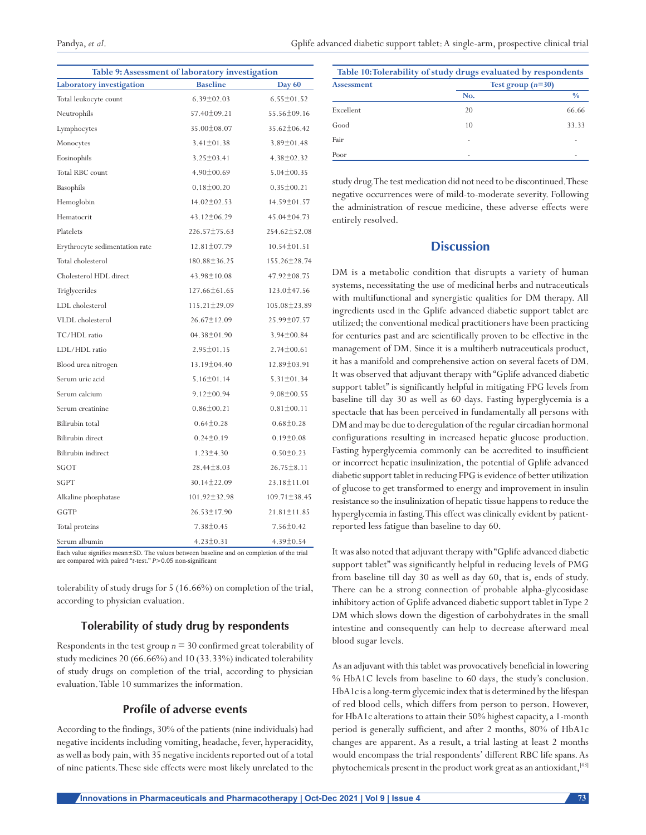| Pandva, et al. | Gplife advanced diabetic support tablet: A single-arm, prospective clinical trial |  |
|----------------|-----------------------------------------------------------------------------------|--|
|                |                                                                                   |  |

| Table 9: Assessment of laboratory investigation |                    |                   |  |
|-------------------------------------------------|--------------------|-------------------|--|
| Laboratory investigation                        | <b>Baseline</b>    | <b>Day 60</b>     |  |
| Total leukocyte count                           | $6.39 \pm 02.03$   | $6.55 \pm 01.52$  |  |
| Neutrophils                                     | 57.40±09.21        | 55.56±09.16       |  |
| Lymphocytes                                     | 35.00±08.07        | $35.62 \pm 06.42$ |  |
| Monocytes                                       | $3.41 \pm 01.38$   | $3.89 \pm 01.48$  |  |
| Eosinophils                                     | $3.25 \pm 03.41$   | $4.38 \pm 02.32$  |  |
| Total RBC count                                 | $4.90 \pm 00.69$   | $5.04 \pm 00.35$  |  |
| Basophils                                       | $0.18 \pm 00.20$   | $0.35 \pm 00.21$  |  |
| Hemoglobin                                      | $14.02 \pm 02.53$  | 14.59±01.57       |  |
| Hematocrit                                      | $43.12 \pm 06.29$  | 45.04±04.73       |  |
| Platelets                                       | 226.57±75.63       | 254.62±52.08      |  |
| Erythrocyte sedimentation rate                  | $12.81 \pm 07.79$  | $10.54 \pm 01.51$ |  |
| Total cholesterol                               | 180.88±36.25       | 155.26±28.74      |  |
| Cholesterol HDL direct                          | $43.98 \pm 10.08$  | $47.92 \pm 08.75$ |  |
| Triglycerides                                   | 127.66±61.65       | 123.0±47.56       |  |
| LDL cholesterol                                 | 115.21±29.09       | 105.08±23.89      |  |
| VLDL cholesterol                                | 26.67±12.09        | 25.99±07.57       |  |
| TC/HDL ratio                                    | $04.38 \pm 01.90$  | $3.94 \pm 00.84$  |  |
| LDL/HDL ratio                                   | $2.95 \pm 01.15$   | $2.74 \pm 00.61$  |  |
| Blood urea nitrogen                             | 13.19±04.40        | 12.89±03.91       |  |
| Serum uric acid                                 | $5.16 \pm 01.14$   | $5.31 \pm 01.34$  |  |
| Serum calcium                                   | $9.12 \pm 00.94$   | $9.08 \pm 00.55$  |  |
| Serum creatinine                                | $0.86 \pm 00.21$   | $0.81 \pm 00.11$  |  |
| Bilirubin total                                 | $0.64 \pm 0.28$    | $0.68 \pm 0.28$   |  |
| Bilirubin direct                                | $0.24 \pm 0.19$    | $0.19 \pm 0.08$   |  |
| Bilirubin indirect                              | $1.23 \pm 4.30$    | $0.50 \pm 0.23$   |  |
| SGOT                                            | $28.44 \pm 8.03$   | $26.75 \pm 8.11$  |  |
| <b>SGPT</b>                                     | 30.14±22.09        | 23.18±11.01       |  |
| Alkaline phosphatase                            | $101.92 \pm 32.98$ | 109.71±38.45      |  |
| GGTP                                            | 26.53±17.90        | 21.81±11.85       |  |
| Total proteins                                  | $7.38 \pm 0.45$    | $7.56 \pm 0.42$   |  |
| Serum albumin                                   | $4.23 \pm 0.31$    | $4.39 \pm 0.54$   |  |

Each value signifies mean±SD. The values between baseline and on completion of the trial are compared with paired "*t*‑test." *P>*0.05 non‑significant

tolerability of study drugs for 5 (16.66%) on completion of the trial, according to physician evaluation.

#### **Tolerability of study drug by respondents**

Respondents in the test group  $n = 30$  confirmed great tolerability of study medicines 20 (66.66%) and 10 (33.33%) indicated tolerability of study drugs on completion of the trial, according to physician evaluation. Table 10 summarizes the information.

#### **Profile of adverse events**

According to the findings, 30% of the patients (nine individuals) had negative incidents including vomiting, headache, fever, hyperacidity, as well as body pain, with 35 negative incidents reported out of a total of nine patients. These side effects were most likely unrelated to the

| Table 10: Tolerability of study drugs evaluated by respondents |                     |               |
|----------------------------------------------------------------|---------------------|---------------|
| <b>Assessment</b>                                              | Test group $(n=30)$ |               |
|                                                                | No.                 | $\frac{0}{0}$ |
| Excellent                                                      | 20                  | 66.66         |
| Good                                                           | 10                  | 33.33         |
| Fair                                                           |                     |               |
| Poor                                                           |                     |               |

study drug. The test medication did not need to be discontinued. These negative occurrences were of mild-to-moderate severity. Following the administration of rescue medicine, these adverse effects were entirely resolved.

## **Discussion**

DM is a metabolic condition that disrupts a variety of human systems, necessitating the use of medicinal herbs and nutraceuticals with multifunctional and synergistic qualities for DM therapy. All ingredients used in the Gplife advanced diabetic support tablet are utilized; the conventional medical practitioners have been practicing for centuries past and are scientifically proven to be effective in the management of DM. Since it is a multiherb nutraceuticals product, it has a manifold and comprehensive action on several facets of DM. It was observed that adjuvant therapy with "Gplife advanced diabetic support tablet" is significantly helpful in mitigating FPG levels from baseline till day 30 as well as 60 days. Fasting hyperglycemia is a spectacle that has been perceived in fundamentally all persons with DM and may be due to deregulation of the regular circadian hormonal configurations resulting in increased hepatic glucose production. Fasting hyperglycemia commonly can be accredited to insufficient or incorrect hepatic insulinization, the potential of Gplife advanced diabetic support tablet in reducing FPG is evidence of better utilization of glucose to get transformed to energy and improvement in insulin resistance so the insulinization of hepatic tissue happens to reduce the hyperglycemia in fasting. This effect was clinically evident by patientreported less fatigue than baseline to day 60.

It was also noted that adjuvant therapy with "Gplife advanced diabetic support tablet" was significantly helpful in reducing levels of PMG from baseline till day 30 as well as day 60, that is, ends of study. There can be a strong connection of probable alpha-glycosidase inhibitory action of Gplife advanced diabetic support tablet in Type 2 DM which slows down the digestion of carbohydrates in the small intestine and consequently can help to decrease afterward meal blood sugar levels.

As an adjuvant with this tablet was provocatively beneficial in lowering % HbA1C levels from baseline to 60 days, the study's conclusion. HbA1c is a long-term glycemic index that is determined by the lifespan of red blood cells, which differs from person to person. However, for HbA1c alterations to attain their 50% highest capacity, a 1-month period is generally sufficient, and after 2 months, 80% of HbA1c changes are apparent. As a result, a trial lasting at least 2 months would encompass the trial respondents' different RBC life spans. As phytochemicals present in the product work great as an antioxidant,<sup>[43]</sup>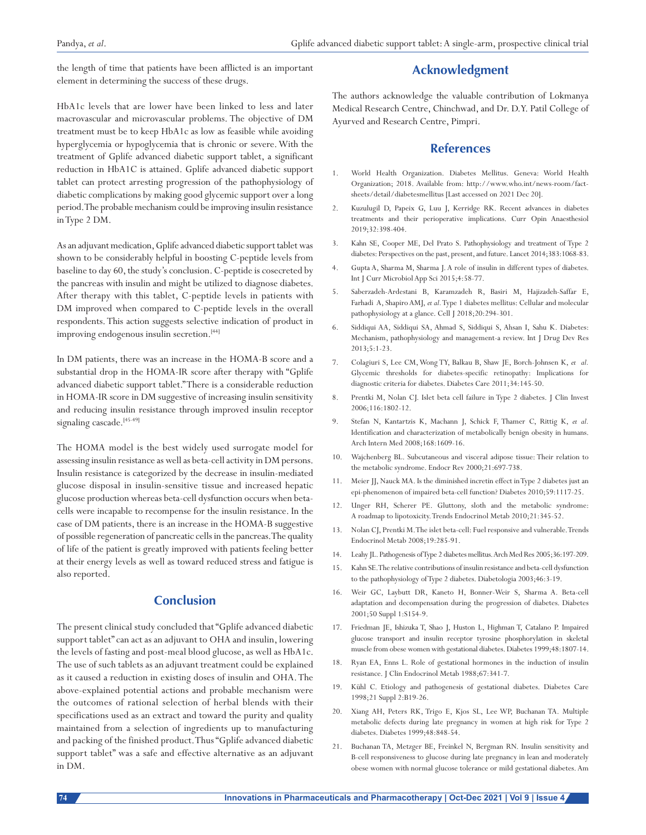the length of time that patients have been afflicted is an important element in determining the success of these drugs.

# **Acknowledgment**

HbA1c levels that are lower have been linked to less and later macrovascular and microvascular problems. The objective of DM treatment must be to keep HbA1c as low as feasible while avoiding hyperglycemia or hypoglycemia that is chronic or severe. With the treatment of Gplife advanced diabetic support tablet, a significant reduction in HbA1C is attained. Gplife advanced diabetic support tablet can protect arresting progression of the pathophysiology of diabetic complications by making good glycemic support over a long period. The probable mechanism could be improving insulin resistance in Type 2 DM.

As an adjuvant medication, Gplife advanced diabetic support tablet was shown to be considerably helpful in boosting C-peptide levels from baseline to day 60, the study's conclusion. C-peptide is cosecreted by the pancreas with insulin and might be utilized to diagnose diabetes. After therapy with this tablet, C-peptide levels in patients with DM improved when compared to C-peptide levels in the overall respondents. This action suggests selective indication of product in improving endogenous insulin secretion.<sup>[44]</sup>

In DM patients, there was an increase in the HOMA-B score and a substantial drop in the HOMA-IR score after therapy with "Gplife advanced diabetic support tablet." There is a considerable reduction in HOMA-IR score in DM suggestive of increasing insulin sensitivity and reducing insulin resistance through improved insulin receptor signaling cascade.<sup>[45-49]</sup>

The HOMA model is the best widely used surrogate model for assessing insulin resistance as well as beta-cell activity in DM persons. Insulin resistance is categorized by the decrease in insulin-mediated glucose disposal in insulin-sensitive tissue and increased hepatic glucose production whereas beta-cell dysfunction occurs when betacells were incapable to recompense for the insulin resistance. In the case of DM patients, there is an increase in the HOMA-B suggestive of possible regeneration of pancreatic cells in the pancreas. The quality of life of the patient is greatly improved with patients feeling better at their energy levels as well as toward reduced stress and fatigue is also reported.

## **Conclusion**

The present clinical study concluded that "Gplife advanced diabetic support tablet" can act as an adjuvant to OHA and insulin, lowering the levels of fasting and post-meal blood glucose, as well as HbA1c. The use of such tablets as an adjuvant treatment could be explained as it caused a reduction in existing doses of insulin and OHA. The above-explained potential actions and probable mechanism were the outcomes of rational selection of herbal blends with their specifications used as an extract and toward the purity and quality maintained from a selection of ingredients up to manufacturing and packing of the finished product. Thus "Gplife advanced diabetic support tablet" was a safe and effective alternative as an adjuvant in DM.

The authors acknowledge the valuable contribution of Lokmanya Medical Research Centre, Chinchwad, and Dr. D.Y. Patil College of Ayurved and Research Centre, Pimpri.

## **References**

- 1. World Health Organization. Diabetes Mellitus. Geneva: World Health Organization; 2018. Available from: http://www.who.int/news-room/factsheets/detail/diabetesmellitus [Last accessed on 2021 Dec 20].
- 2. Kuzulugil D, Papeix G, Luu J, Kerridge RK. Recent advances in diabetes treatments and their perioperative implications. Curr Opin Anaesthesiol 2019;32:398-404.
- 3. Kahn SE, Cooper ME, Del Prato S. Pathophysiology and treatment of Type 2 diabetes: Perspectives on the past, present, and future. Lancet 2014;383:1068-83.
- 4. Gupta A, Sharma M, Sharma J. A role of insulin in different types of diabetes. Int J Curr Microbiol App Sci 2015;4:58-77.
- 5. Saberzadeh-Ardestani B, Karamzadeh R, Basiri M, Hajizadeh-Saffar E, Farhadi A, Shapiro AMJ, *et al.* Type 1 diabetes mellitus: Cellular and molecular pathophysiology at a glance. Cell J 2018;20:294-301.
- 6. Siddiqui AA, Siddiqui SA, Ahmad S, Siddiqui S, Ahsan I, Sahu K. Diabetes: Mechanism, pathophysiology and management-a review. Int J Drug Dev Res 2013;5:1-23.
- 7. Colagiuri S, Lee CM, Wong TY, Balkau B, Shaw JE, Borch-Johnsen K, *et al.* Glycemic thresholds for diabetes-specific retinopathy: Implications for diagnostic criteria for diabetes. Diabetes Care 2011;34:145-50.
- 8. Prentki M, Nolan CJ. Islet beta cell failure in Type 2 diabetes. J Clin Invest 2006;116:1802-12.
- 9. Stefan N, Kantartzis K, Machann J, Schick F, Thamer C, Rittig K, *et al.* Identification and characterization of metabolically benign obesity in humans. Arch Intern Med 2008;168:1609-16.
- 10. Wajchenberg BL. Subcutaneous and visceral adipose tissue: Their relation to the metabolic syndrome. Endocr Rev 2000;21:697-738.
- 11. Meier JJ, Nauck MA. Is the diminished incretin effect in Type 2 diabetes just an epi-phenomenon of impaired beta-cell function? Diabetes 2010;59:1117-25.
- 12. Unger RH, Scherer PE. Gluttony, sloth and the metabolic syndrome: A roadmap to lipotoxicity. Trends Endocrinol Metab 2010;21:345-52.
- 13. Nolan CJ, Prentki M. The islet beta-cell: Fuel responsive and vulnerable. Trends Endocrinol Metab 2008;19:285-91.
- 14. Leahy JL. Pathogenesis of Type 2 diabetes mellitus. Arch Med Res 2005;36:197-209.
- 15. Kahn SE. The relative contributions of insulin resistance and beta-cell dysfunction to the pathophysiology of Type 2 diabetes. Diabetologia 2003;46:3-19.
- 16. Weir GC, Laybutt DR, Kaneto H, Bonner-Weir S, Sharma A. Beta-cell adaptation and decompensation during the progression of diabetes. Diabetes 2001;50 Suppl 1:S154-9.
- 17. Friedman JE, Ishizuka T, Shao J, Huston L, Highman T, Catalano P. Impaired glucose transport and insulin receptor tyrosine phosphorylation in skeletal muscle from obese women with gestational diabetes. Diabetes 1999;48:1807-14.
- 18. Ryan EA, Enns L. Role of gestational hormones in the induction of insulin resistance. J Clin Endocrinol Metab 1988;67:341-7.
- 19. Kühl C. Etiology and pathogenesis of gestational diabetes. Diabetes Care 1998;21 Suppl 2:B19-26.
- 20. Xiang AH, Peters RK, Trigo E, Kjos SL, Lee WP, Buchanan TA. Multiple metabolic defects during late pregnancy in women at high risk for Type 2 diabetes. Diabetes 1999;48:848-54.
- 21. Buchanan TA, Metzger BE, Freinkel N, Bergman RN. Insulin sensitivity and B-cell responsiveness to glucose during late pregnancy in lean and moderately obese women with normal glucose tolerance or mild gestational diabetes. Am